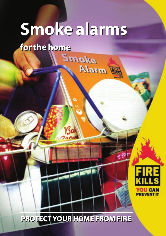# **Smoke alarms Smoke alarms**

Smoke

Alarm W

**for the home for the home**



# **PROTECT YOUR HOME FROM FIRE PROTECT YOUR HOME FROM FIRE**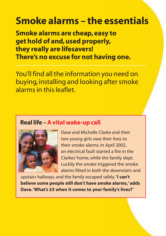# **Smoke alarms – the essentials**

**Smoke alarms are cheap, easy to get hold of and, used properly, they really are lifesavers! There's no excuse for not having one.**

You'll find all the information you need on buying, installing and looking after smoke alarms in this leaflet.

### **Real life –A vital wake-up call**



Dave and Michelle Clarke and their two young girls owe their lives to their smoke alarms. In April 2002, an electrical fault started a fire in the Clarkes' home, while the family slept. Luckily the smoke triggered the smoke alarms fitted in both the downstairs and

upstairs hallways, and the family escaped safely. **'I can't believe some people still don't have smoke alarms,' adds Dave.'What's £5 when it comes to your family's lives?'**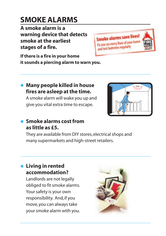# **SMOKE ALARMS**

**A smoke alarm is a warning device that detects smoke at the earliest stages of a fire.**



**If there is a fire in your home it sounds a piercing alarm to warn you.**

#### • **Many people killed in house fires are asleep at the time.**

A smoke alarm will wake you up and give you vital extra time to escape.



#### • **Smoke alarms cost from as little as £5.**

They are available from DIY stores, electrical shops and many supermarkets and high-street retailers.

#### • **Living in rented accommodation?**

Landlords are not legally obliged to fit smoke alarms. Your safety is your own responsibility. And, if you move, you can always take your smoke alarm with you.

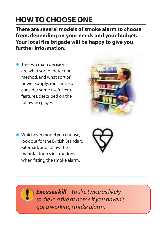# **HOW TO CHOOSE ONE**

**There are several models of smoke alarm to choose from, depending on your needs and your budget. Your local fire brigade will be happy to give you further information.**

**• The two main decisions** are what sort of detection method, and what sort of power supply.You can also consider some useful extra features, described on the following pages.



• Whichever model you choose, look out for the British Standard Kitemark and follow the manufacturer's instructions when fitting the smoke alarm.



*Excuses kill – You're twice as likely to die in a fire at home if you haven't got a working smoke alarm.*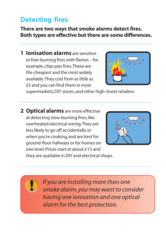# **Detecting fires**

**There are two ways that smoke alarms detect fires. Both types are effective but there are some differences.**

**1 Ionisation alarms** are sensitive to free-burning fires with flames – for example, chip-pan fires.These are the cheapest and the most widely available.They cost from as little as £5 and you can find them in most



supermarkets, DIY stores, and other high-street retailers.

**2 Optical alarms** are more effective at detecting slow-burning fires, like overheated electrical wiring.They are less likely to go off accidentally or when you're cooking, and are best for ground-floor hallways or for homes on one level. Prices start at about £15 and they are available in DIY and electrical shops.





*If you are installing more than one smoke alarm, you may want to consider having one ionisation and one optical alarm for the best protection.*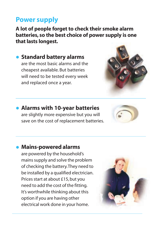### **Power supply**

**A lot of people forget to check their smoke alarm batteries, so the best choice of power supply is one that lasts longest.**

• **Standard battery alarms** are the most basic alarms and the cheapest available. But batteries will need to be tested every week and replaced once a year.



#### • **Alarms with 10-year batteries**  are slightly more expensive but you will save on the cost of replacement batteries.



# • **Mains-powered alarms**

are powered by the household's mains supply and solve the problem of checking the battery.They need to be installed by a qualified electrician. Prices start at about £15, but you need to add the cost of the fitting. It's worthwhile thinking about this option if you are having other electrical work done in your home.

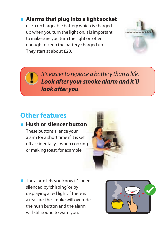### • **Alarms that plug into a light socket**

use a rechargeable battery which is charged up when you turn the light on.It is important to make sure you turn the light on often enough to keep the battery charged up. They start at about £20.



*It's easier to replace a battery than a life. Look after your smoke alarm and it'll look after you.*

# **Other features**

#### • **Hush or silencer button**

These buttons silence your alarm for a short time if it is set off accidentally – when cooking or making toast, for example.



• The alarm lets you know it's been silenced by 'chirping'or by displaying a red light. If there is a real fire, the smoke will override the hush button and the alarm will still sound to warn you.

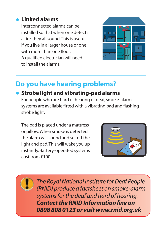#### • **Linked alarms**

Interconnected alarms can be installed so that when one detects a fire, they all sound.This is useful if you live in a larger house or one with more than one floor. A qualified electrician will need to install the alarms.



### **Do you have hearing problems?**

#### • **Strobe light and vibrating-pad alarms**

For people who are hard of hearing or deaf, smoke-alarm systems are available fitted with a vibrating pad and flashing strobe light.

The pad is placed under a mattress or pillow.When smoke is detected the alarm will sound and set off the light and pad.This will wake you up instantly. Battery-operated systems cost from £100.



*The Royal National Institute for Deaf People (RNID) produce a factsheet on smoke-alarm systems for the deaf and hard of hearing. Contact the RNID Information line on 0808 808 0123 or visit www.rnid.org.uk*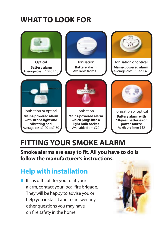# **WHAT TO LOOK FOR**

| Optical                    | <b>lonisation</b>          | Ionisation or optical      |
|----------------------------|----------------------------|----------------------------|
| <b>Battery alarm</b>       | <b>Battery alarm</b>       | <b>Mains-powered alarm</b> |
| Average cost £10 to £15    | Available from £5          | Average cost £15 to £40    |
|                            | <b>Production for N</b>    |                            |
| Ionisation or optical      | Ionisation                 | lonisation or optical      |
| <b>Mains-powered alarm</b> | <b>Mains-powered alarm</b> | <b>Battery alarm with</b>  |
| with strobe light and      | which plugs into a         | 10-year batteries or       |
| vibrating pad              | light bulb socket          | power source               |
| Average cost £100 to £150  | Available from £20         | Available from £15         |

# **FITTING YOUR SMOKE ALARM**

**Smoke alarms are easy to fit. All you have to do is follow the manufacturer's instructions.**

# **Help with installation**

• If it is difficult for you to fit your alarm, contact your local fire brigade. They will be happy to advise you or help you install it and to answer any other questions you may have on fire safety in the home.

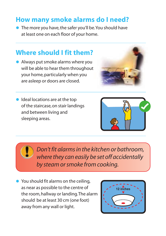### **How many smoke alarms do I need?**

• The more you have, the safer you'll be. You should have at least one on each floor of your home.

### **Where should I fit them?**

• Always put smoke alarms where you will be able to hear them throughout your home, particularly when you are asleep or doors are closed.



• Ideal locations are at the top of the staircase, on stair landings and between living and sleeping areas.



*Don't fit alarms in the kitchen or bathroom, where they can easily be set off accidentally by steam or smoke from cooking.*

• You should fit alarms on the ceiling, as near as possible to the centre of the room, hallway or landing.The alarm should be at least 30 cm (one foot) away from any wall or light.

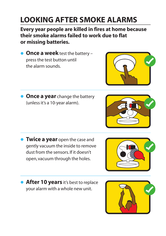# **LOOKING AFTER SMOKE ALARMS**

**Every year people are killed in fires at home because their smoke alarms failed to work due to flat or missing batteries.**

- **Once a week** test the battery press the test button until the alarm sounds.
- **Once a year** change the battery (unless it's a 10-year alarm).

- **Twice a year** open the case and gently vacuum the inside to remove dust from the sensors. If it doesn't open, vacuum through the holes.
- **After 10 years** it's best to replace your alarm with a whole new unit.







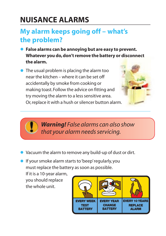# **NUISANCE ALARMS**

### **My alarm keeps going off – what's the problem?**

- **False alarms can be annoying but are easy to prevent. Whatever you do, don't remove the battery or disconnect the alarm.**
- The usual problem is placing the alarm too near the kitchen – where it can be set off accidentally by smoke from cooking or making toast. Follow the advice on fitting and try moving the alarm to a less sensitive area. Or, replace it with a hush or silencer button alarm.





*Warning! False alarms can also show that your alarm needs servicing.*

- Vacuum the alarm to remove any build-up of dust or dirt.
- **•** If your smoke alarm starts to 'beep' regularly, you must replace the battery as soon as possible.

If it is a 10-year alarm, you should replace the whole unit.

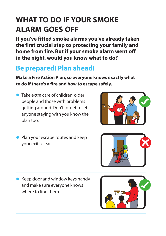# **WHAT TO DO IF YOUR SMOKE ALARM GOES OFF**

**If you've fitted smoke alarms you've already taken the first crucial step to protecting your family and home from fire. But if your smoke alarm went off in the night, would you know what to do?**

## **Be prepared! Plan ahead!**

**Make a Fire Action Plan, so everyone knows exactly what to do if there's a fire and how to escape safely.**

• Take extra care of children, older people and those with problems getting around. Don't forget to let anyone staying with you know the plan too.



• Plan your escape routes and keep your exits clear.



• Keep door and window keys handy and make sure everyone knows where to find them.

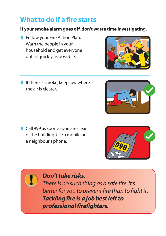# **What to do if a fire starts**

#### **If your smoke alarm goes off, don't waste time investigating.**

- **Follow your Fire Action Plan.** Warn the people in your household and get everyone out as quickly as possible.
- **•** If there is smoke, keep low where the air is clearer.

• Call 999 as soon as you are clear of the building.Use a mobile or a neighbour's phone.



*There is no such thing as a safe fire.It's better for you to prevent fire than to fight it. Tackling fire is a job best left to professional firefighters.*







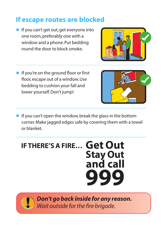# **If escape routes are blocked**

- If you can't get out, get everyone into one room, preferably one with a window and a phone. Put bedding round the door to block smoke.
- **•** If you're on the ground floor or first floor, escape out of a window.Use bedding to cushion your fall and lower yourself. Don't jump!



**•** If you can't open the window, break the glass in the bottom corner.Make jagged edges safe by covering them with a towel or blanket.



*Don't go back inside for any reason. Wait outside for the fire brigade.*